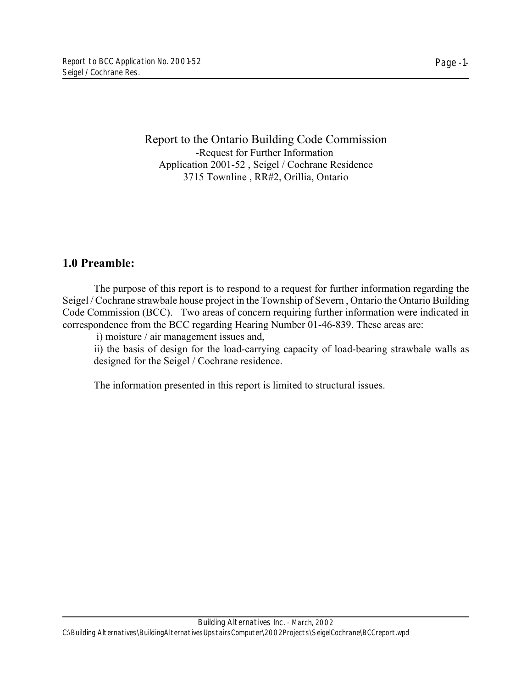Report to the Ontario Building Code Commission -Request for Further Information Application 2001-52 , Seigel / Cochrane Residence 3715 Townline , RR#2, Orillia, Ontario

# **1.0 Preamble:**

The purpose of this report is to respond to a request for further information regarding the Seigel / Cochrane strawbale house project in the Township of Severn , Ontario the Ontario Building Code Commission (BCC). Two areas of concern requiring further information were indicated in correspondence from the BCC regarding Hearing Number 01-46-839. These areas are:

i) moisture / air management issues and,

ii) the basis of design for the load-carrying capacity of load-bearing strawbale walls as designed for the Seigel / Cochrane residence.

The information presented in this report is limited to structural issues.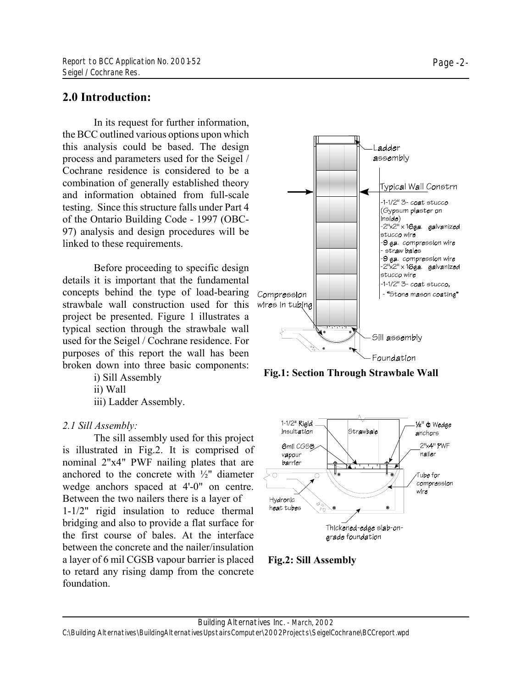## **2.0 Introduction:**

In its request for further information, the BCC outlined various options upon which this analysis could be based. The design process and parameters used for the Seigel / Cochrane residence is considered to be a combination of generally established theory and information obtained from full-scale testing. Since this structure falls under Part 4 of the Ontario Building Code - 1997 (OBC-97) analysis and design procedures will be linked to these requirements.

Before proceeding to specific design details it is important that the fundamental concepts behind the type of load-bearing strawbale wall construction used for this project be presented. Figure 1 illustrates a typical section through the strawbale wall used for the Seigel / Cochrane residence. For purposes of this report the wall has been broken down into three basic components:

i) Sill Assembly

ii) Wall

iii) Ladder Assembly.

### *2.1 Sill Assembly:*

The sill assembly used for this project is illustrated in Fig.2. It is comprised of nominal 2"x4" PWF nailing plates that are anchored to the concrete with  $\frac{1}{2}$ " diameter wedge anchors spaced at 4'-0" on centre. Between the two nailers there is a layer of

1-1/2" rigid insulation to reduce thermal bridging and also to provide a flat surface for the first course of bales. At the interface between the concrete and the nailer/insulation a layer of 6 mil CGSB vapour barrier is placed to retard any rising damp from the concrete foundation.



**Fig.1: Section Through Strawbale Wall**





C:\Building Alternatives\BuildingAlternativesUpstairsComputer\2002Projects\SeigelCochrane\BCCreport.wpd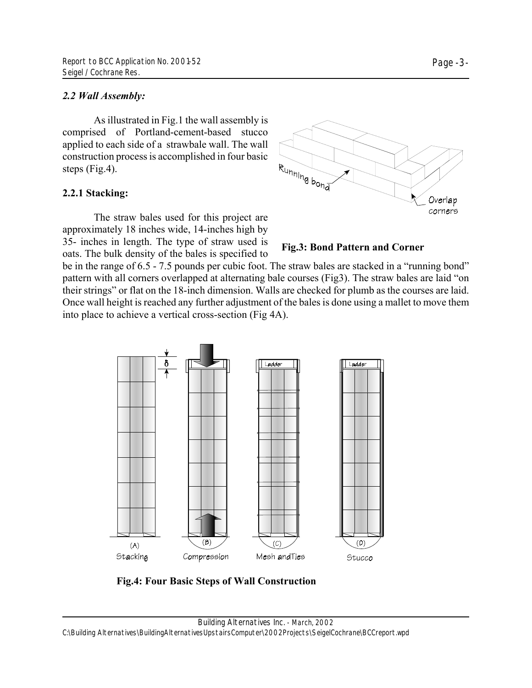### *2.2 Wall Assembly:*

As illustrated in Fig.1 the wall assembly is comprised of Portland-cement-based stucco applied to each side of a strawbale wall. The wall construction process is accomplished in four basic steps (Fig.4).

### **2.2.1 Stacking:**

The straw bales used for this project are approximately 18 inches wide, 14-inches high by 35- inches in length. The type of straw used is oats. The bulk density of the bales is specified to

 $\delta$ 

**Fig.3: Bond Pattern and Corner**

Ladder

be in the range of 6.5 - 7.5 pounds per cubic foot. The straw bales are stacked in a "running bond" pattern with all corners overlapped at alternating bale courses (Fig3). The straw bales are laid "on their strings" or flat on the 18-inch dimension. Walls are checked for plumb as the courses are laid. Once wall height is reached any further adjustment of the bales is done using a mallet to move them into place to achieve a vertical cross-section (Fig 4A).

Ladder

 $R_{Unthing}_{b_{o_{h\bar{d}}}}$ 



**Fig.4: Four Basic Steps of Wall Construction**

Overlap corners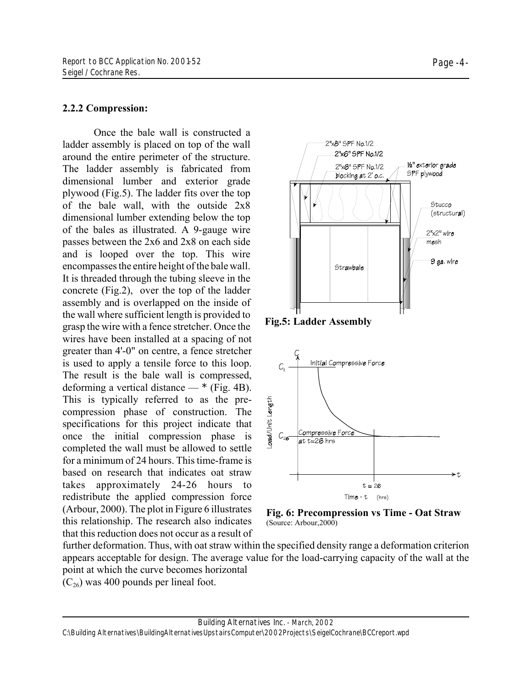#### **2.2.2 Compression:**

Once the bale wall is constructed a ladder assembly is placed on top of the wall around the entire perimeter of the structure. The ladder assembly is fabricated from dimensional lumber and exterior grade plywood (Fig.5). The ladder fits over the top of the bale wall, with the outside 2x8 dimensional lumber extending below the top of the bales as illustrated. A 9-gauge wire passes between the 2x6 and 2x8 on each side and is looped over the top. This wire encompasses the entire height of the bale wall. It is threaded through the tubing sleeve in the concrete (Fig.2), over the top of the ladder assembly and is overlapped on the inside of the wall where sufficient length is provided to grasp the wire with a fence stretcher. Once the wires have been installed at a spacing of not greater than 4'-0" on centre, a fence stretcher is used to apply a tensile force to this loop. The result is the bale wall is compressed, deforming a vertical distance —  $*$  (Fig. 4B). This is typically referred to as the precompression phase of construction. The specifications for this project indicate that once the initial compression phase is completed the wall must be allowed to settle for a minimum of 24 hours. This time-frame is based on research that indicates oat straw takes approximately 24-26 hours to redistribute the applied compression force (Arbour, 2000). The plot in Figure 6 illustrates this relationship. The research also indicates that this reduction does not occur as a result of



**Fig.5: Ladder Assembly**





further deformation. Thus, with oat straw within the specified density range a deformation criterion appears acceptable for design. The average value for the load-carrying capacity of the wall at the point at which the curve becomes horizontal  $(C_{26})$  was 400 pounds per lineal foot.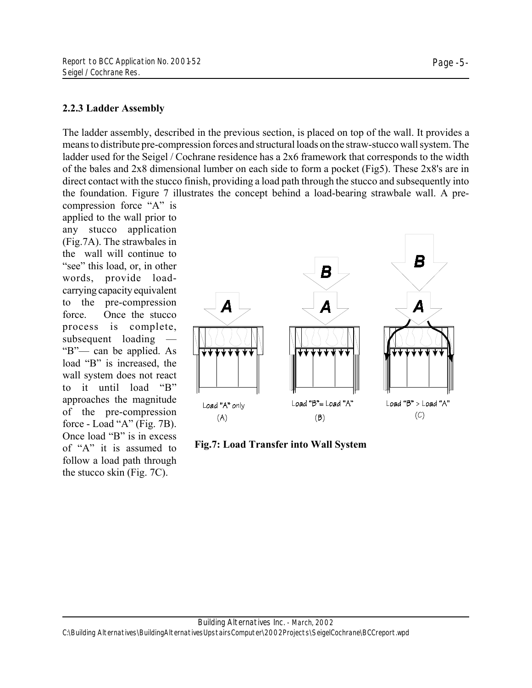### **2.2.3 Ladder Assembly**

The ladder assembly, described in the previous section, is placed on top of the wall. It provides a means to distribute pre-compression forces and structural loads on the straw-stucco wall system. The ladder used for the Seigel / Cochrane residence has a 2x6 framework that corresponds to the width of the bales and 2x8 dimensional lumber on each side to form a pocket (Fig5). These 2x8's are in direct contact with the stucco finish, providing a load path through the stucco and subsequently into the foundation. Figure 7 illustrates the concept behind a load-bearing strawbale wall. A pre-

compression force "A" is applied to the wall prior to any stucco application (Fig.7A). The strawbales in the wall will continue to "see" this load, or, in other words, provide loadcarrying capacity equivalent to the pre-compression force. Once the stucco process is complete, subsequent loading — "B"— can be applied. As load "B" is increased, the wall system does not react to it until load "B" approaches the magnitude of the pre-compression force - Load "A" (Fig. 7B). Once load "B" is in excess of "A" it is assumed to follow a load path through the stucco skin (Fig. 7C).



**Fig.7: Load Transfer into Wall System**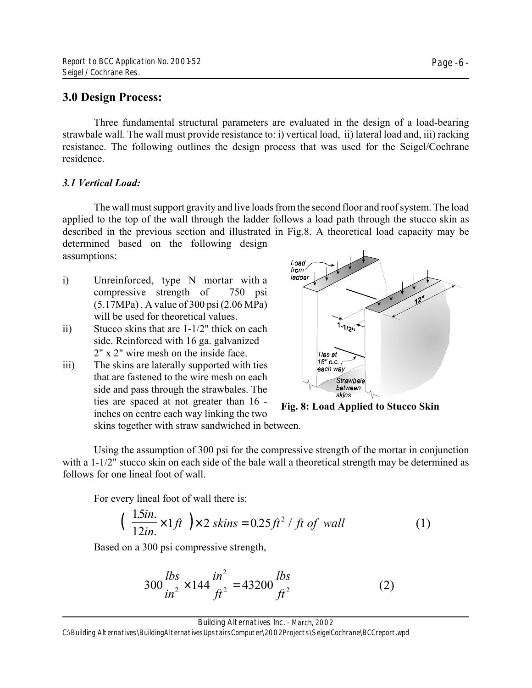## **3.0 Design Process:**

Three fundamental structural parameters are evaluated in the design of a load-bearing strawbale wall. The wall must provide resistance to: i) vertical load, ii) lateral load and, iii) racking resistance. The following outlines the design process that was used for the Seigel/Cochrane residence.

## *3.1 Vertical Load:*

The wall must support gravity and live loads from the second floor and roof system. The load applied to the top of the wall through the ladder follows a load path through the stucco skin as described in the previous section and illustrated in Fig.8. A theoretical load capacity may be determined based on the following design assumptions:

- i) Unreinforced, type N mortar with a compressive strength of 750 psi (5.17MPa) . A value of 300 psi (2.06 MPa) will be used for theoretical values.
- ii) Stucco skins that are 1-1/2" thick on each side. Reinforced with 16 ga. galvanized 2" x 2" wire mesh on the inside face.
- iii) The skins are laterally supported with ties that are fastened to the wire mesh on each side and pass through the strawbales. The ties are spaced at not greater than 16 inches on centre each way linking the two



**Fig. 8: Load Applied to Stucco Skin**

skins together with straw sandwiched in between.

Using the assumption of 300 psi for the compressive strength of the mortar in conjunction with a 1-1/2" stucco skin on each side of the bale wall a theoretical strength may be determined as follows for one lineal foot of wall.

For every lineal foot of wall there is:

$$
\left(\begin{array}{c}\n\frac{1.5in.}{12in.} \times 1 \text{ ft} \\
\end{array}\right) \times 2 \text{ skins} = 0.25 \text{ ft}^2 / \text{ ft of wall}\n\tag{1}
$$

Based on a 300 psi compressive strength,

$$
300 \frac{lbs}{in^2} \times 144 \frac{in^2}{ft^2} = 43200 \frac{lbs}{ft^2}
$$
 (2)

Building Alternatives Inc. - March, 2002

C:\Building Alternatives\BuildingAlternativesUpstairsComputer\2002Projects\SeigelCochrane\BCCreport.wpd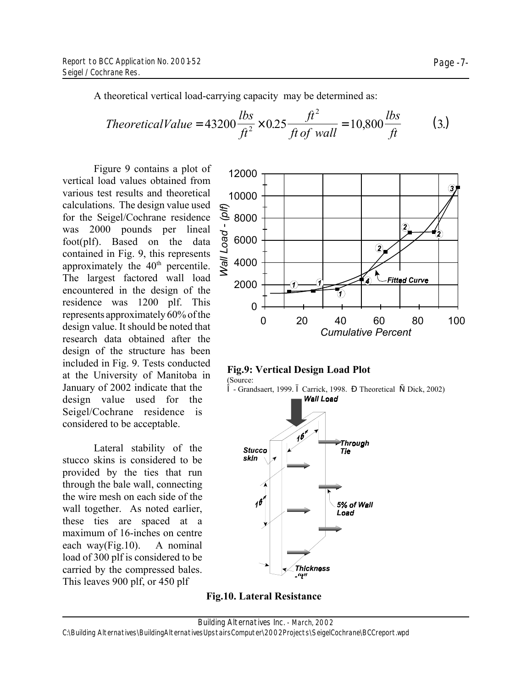A theoretical vertical load-carrying capacity may be determined as:

Theoretical Value = 
$$
43200 \frac{lbs}{ft^2} \times 0.25 \frac{ft^2}{ft \text{ of wall}} = 10,800 \frac{lbs}{ft}
$$
 (3.)

Figure 9 contains a plot of vertical load values obtained from various test results and theoretical calculations. The design value used for the Seigel/Cochrane residence was 2000 pounds per lineal foot(plf). Based on the data contained in Fig. 9, this represents approximately the 40<sup>th</sup> percentile. The largest factored wall load encountered in the design of the residence was 1200 plf. This represents approximately 60% of the design value. It should be noted that research data obtained after the design of the structure has been included in Fig. 9. Tests conducted at the University of Manitoba in January of 2002 indicate that the design value used for the Seigel/Cochrane residence is considered to be acceptable.

Lateral stability of the stucco skins is considered to be provided by the ties that run through the bale wall, connecting the wire mesh on each side of the wall together. As noted earlier, these ties are spaced at a maximum of 16-inches on centre each way(Fig.10). A nominal load of 300 plf is considered to be carried by the compressed bales. This leaves 900 plf, or 450 plf







**Fig.10. Lateral Resistance**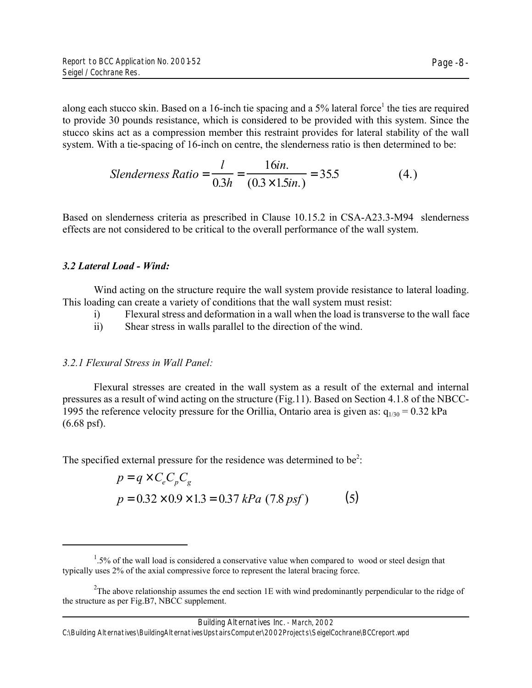along each stucco skin. Based on a 16-inch tie spacing and a 5% lateral force<sup>1</sup> the ties are required to provide 30 pounds resistance, which is considered to be provided with this system. Since the stucco skins act as a compression member this restraint provides for lateral stability of the wall system. With a tie-spacing of 16-inch on centre, the slenderness ratio is then determined to be:

Slenderness Ratio = 
$$
\frac{l}{0.3h} = \frac{16in.}{(0.3 \times 1.5in.)} = 35.5
$$
 (4.)

Based on slenderness criteria as prescribed in Clause 10.15.2 in CSA-A23.3-M94 slenderness effects are not considered to be critical to the overall performance of the wall system.

### *3.2 Lateral Load - Wind:*

Wind acting on the structure require the wall system provide resistance to lateral loading. This loading can create a variety of conditions that the wall system must resist:

- i) Flexural stress and deformation in a wall when the load is transverse to the wall face
- ii) Shear stress in walls parallel to the direction of the wind.

## *3.2.1 Flexural Stress in Wall Panel:*

Flexural stresses are created in the wall system as a result of the external and internal pressures as a result of wind acting on the structure (Fig.11). Based on Section 4.1.8 of the NBCC-1995 the reference velocity pressure for the Orillia, Ontario area is given as:  $q_{1/30} = 0.32$  kPa (6.68 psf).

The specified external pressure for the residence was determined to be<sup>2</sup>:

$$
p = q \times C_e C_p C_g
$$
  
 
$$
p = 0.32 \times 0.9 \times 1.3 = 0.37 \, kPa \, (7.8 \, psf)
$$
 (5)

Building Alternatives Inc. - March, 2002

 $1.5\%$  of the wall load is considered a conservative value when compared to wood or steel design that typically uses 2% of the axial compressive force to represent the lateral bracing force.

<sup>&</sup>lt;sup>2</sup>The above relationship assumes the end section 1E with wind predominantly perpendicular to the ridge of the structure as per Fig.B7, NBCC supplement.

C:\Building Alternatives\BuildingAlternativesUpstairsComputer\2002Projects\SeigelCochrane\BCCreport.wpd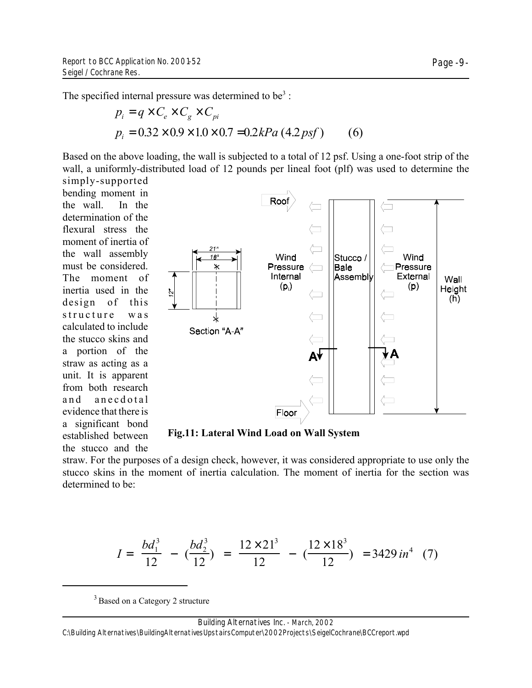The specified internal pressure was determined to be<sup>3</sup>:

$$
p_i = q \times C_e \times C_g \times C_{pi}
$$
  
\n
$$
p_i = 0.32 \times 0.9 \times 1.0 \times 0.7 = 0.2 kPa (4.2 psf)
$$
 (6)

Based on the above loading, the wall is subjected to a total of 12 psf. Using a one-foot strip of the wall, a uniformly-distributed load of 12 pounds per lineal foot (plf) was used to determine the simply-supported

bending moment in the wall. In the determination of the flexural stress the moment of inertia of the wall assembly must be considered. The moment of inertia used in the design of this structure was calculated to include the stucco skins and a portion of the straw as acting as a unit. It is apparent from both research and anecdotal evidence that there is a significant bond established between the stucco and the



**Fig.11: Lateral Wind Load on Wall System**

straw. For the purposes of a design check, however, it was considered appropriate to use only the stucco skins in the moment of inertia calculation. The moment of inertia for the section was determined to be:

$$
I = \left(\frac{bd_1^3}{12}\right) - \left(\frac{bd_2^3}{12}\right) = \left(\frac{12 \times 21^3}{12}\right) - \left(\frac{12 \times 18^3}{12}\right) = 3429 \text{ in}^4 \quad (7)
$$

<sup>3</sup> Based on a Category 2 structure

C:\Building Alternatives\BuildingAlternativesUpstairsComputer\2002Projects\SeigelCochrane\BCCreport.wpd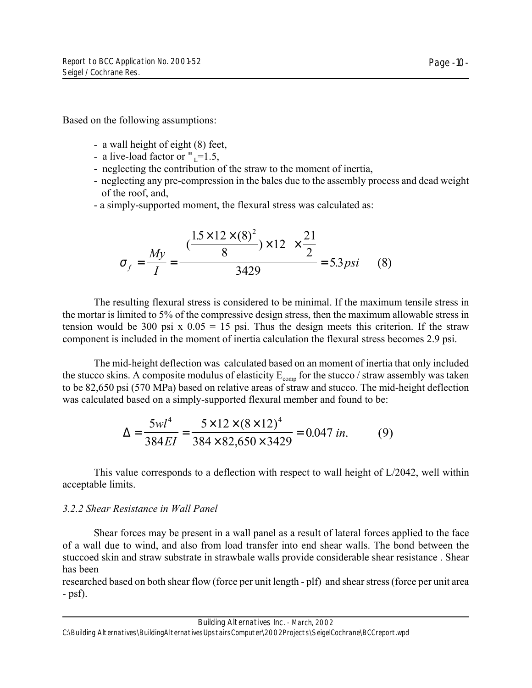Page -10-

Based on the following assumptions:

- a wall height of eight (8) feet,
- a live-load factor or " $_{\text{L}}$ =1.5,
- neglecting the contribution of the straw to the moment of inertia,
- neglecting any pre-compression in the bales due to the assembly process and dead weight of the roof, and,
- a simply-supported moment, the flexural stress was calculated as:

$$
\sigma_f = \frac{My}{I} = \frac{\left( \frac{(1.5 \times 12 \times (8)^2)}{8} \right) \times 12 \right) \times \frac{21}{2}}{3429} = 5.3 \text{ psi} \tag{8}
$$

The resulting flexural stress is considered to be minimal. If the maximum tensile stress in the mortar is limited to 5% of the compressive design stress, then the maximum allowable stress in tension would be 300 psi x  $0.05 = 15$  psi. Thus the design meets this criterion. If the straw component is included in the moment of inertia calculation the flexural stress becomes 2.9 psi.

The mid-height deflection was calculated based on an moment of inertia that only included the stucco skins. A composite modulus of elasticity  $E_{\text{comp}}$  for the stucco / straw assembly was taken to be 82,650 psi (570 MPa) based on relative areas of straw and stucco. The mid-height deflection was calculated based on a simply-supported flexural member and found to be:

$$
\Delta = \frac{5wl^4}{384EI} = \frac{5 \times 12 \times (8 \times 12)^4}{384 \times 82,650 \times 3429} = 0.047 \text{ in.}
$$
 (9)

This value corresponds to a deflection with respect to wall height of L/2042, well within acceptable limits.

## *3.2.2 Shear Resistance in Wall Panel*

Shear forces may be present in a wall panel as a result of lateral forces applied to the face of a wall due to wind, and also from load transfer into end shear walls. The bond between the stuccoed skin and straw substrate in strawbale walls provide considerable shear resistance . Shear has been

researched based on both shear flow (force per unit length - plf) and shear stress (force per unit area - psf).

C:\Building Alternatives\BuildingAlternativesUpstairsComputer\2002Projects\SeigelCochrane\BCCreport.wpd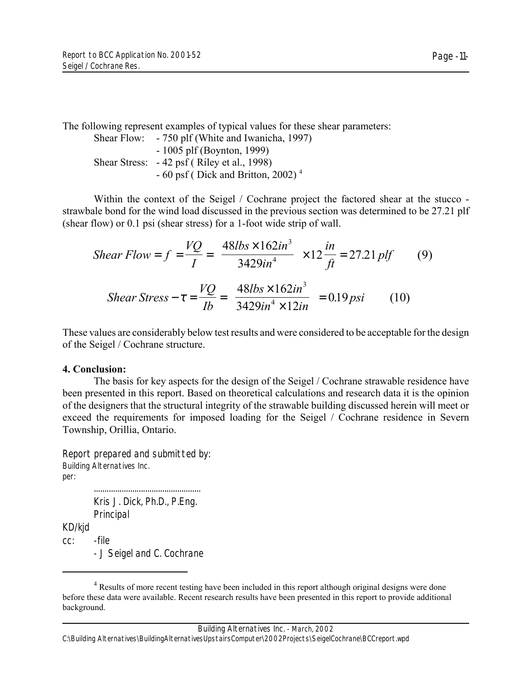The following represent examples of typical values for these shear parameters:

Shear Flow: - 750 plf (White and Iwanicha, 1997) - 1005 plf (Boynton, 1999) Shear Stress: - 42 psf ( Riley et al., 1998)  $-60$  psf (Dick and Britton, 2002)<sup>4</sup>

Within the context of the Seigel / Cochrane project the factored shear at the stucco strawbale bond for the wind load discussed in the previous section was determined to be 27.21 plf (shear flow) or 0.1 psi (shear stress) for a 1-foot wide strip of wall.

Shear Flow = 
$$
f = \frac{VQ}{I} = \left(\frac{48lbs \times 162in^3}{3429in^4}\right) \times 12 \frac{in}{ft} = 27.21 \text{ plf}
$$
 (9)  
Shear Stress -  $\tau = \frac{VQ}{Ib} = \left(\frac{48lbs \times 162in^3}{3429in^4 \times 12in}\right) = 0.19 \text{ psi}$  (10)

These values are considerably below test results and were considered to be acceptable for the design of the Seigel / Cochrane structure.

## **4. Conclusion:**

The basis for key aspects for the design of the Seigel / Cochrane strawable residence have been presented in this report. Based on theoretical calculations and research data it is the opinion of the designers that the structural integrity of the strawable building discussed herein will meet or exceed the requirements for imposed loading for the Seigel / Cochrane residence in Severn Township, Orillia, Ontario.

Report prepared and submitted by: Building Alternatives Inc. per: ..................................................

Kris J. Dick, Ph.D., P.Eng. Principal KD/kjd cc: -file - J Seigel and C. Cochrane

<sup>&</sup>lt;sup>4</sup> Results of more recent testing have been included in this report although original designs were done before these data were available. Recent research results have been presented in this report to provide additional background.